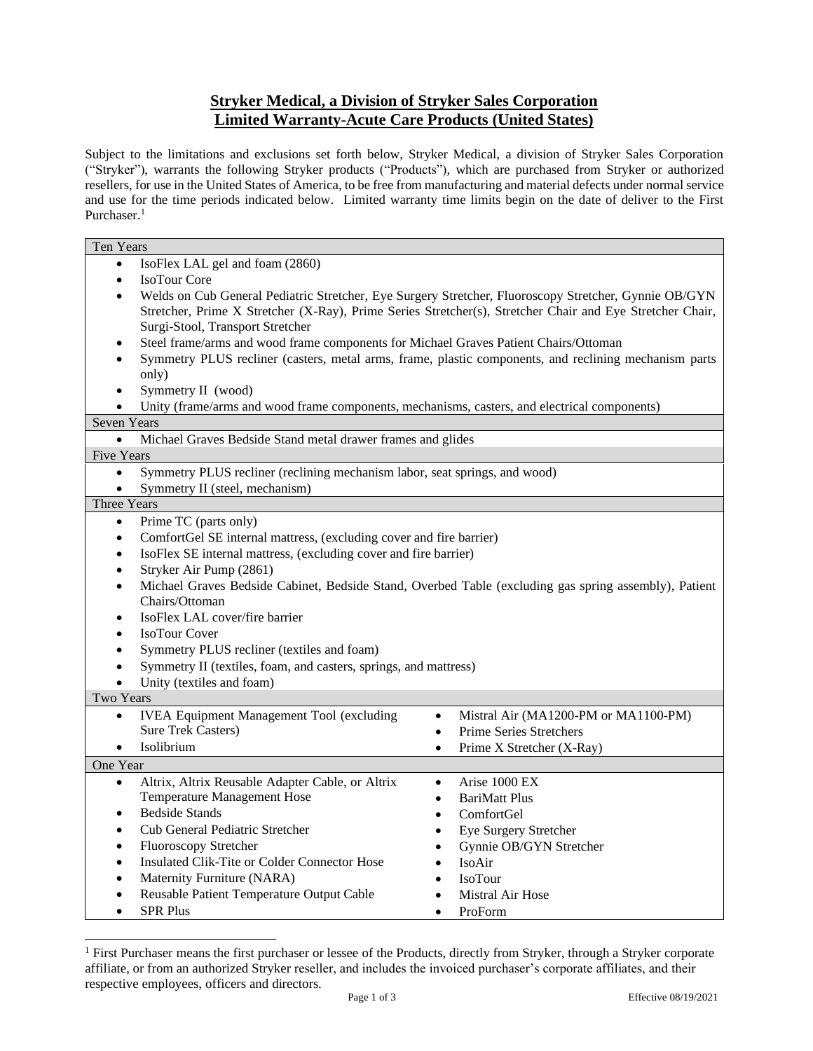# **Stryker Medical, a Division of Stryker Sales Corporation Limited Warranty-Acute Care Products (United States)**

Subject to the limitations and exclusions set forth below, Stryker Medical, a division of Stryker Sales Corporation ("Stryker"), warrants the following Stryker products ("Products"), which are purchased from Stryker or authorized resellers, for use in the United States of America, to be free from manufacturing and material defects under normal service and use for the time periods indicated below. Limited warranty time limits begin on the date of deliver to the First Purchaser.<sup>1</sup>

| Ten Years                                                                                                                                                                                                                                                           |                                                   |
|---------------------------------------------------------------------------------------------------------------------------------------------------------------------------------------------------------------------------------------------------------------------|---------------------------------------------------|
| IsoFlex LAL gel and foam (2860)<br>$\bullet$                                                                                                                                                                                                                        |                                                   |
| IsoTour Core<br>$\bullet$                                                                                                                                                                                                                                           |                                                   |
| Welds on Cub General Pediatric Stretcher, Eye Surgery Stretcher, Fluoroscopy Stretcher, Gynnie OB/GYN<br>$\bullet$<br>Stretcher, Prime X Stretcher (X-Ray), Prime Series Stretcher(s), Stretcher Chair and Eye Stretcher Chair,<br>Surgi-Stool, Transport Stretcher |                                                   |
| Steel frame/arms and wood frame components for Michael Graves Patient Chairs/Ottoman<br>$\bullet$                                                                                                                                                                   |                                                   |
| Symmetry PLUS recliner (casters, metal arms, frame, plastic components, and reclining mechanism parts<br>$\bullet$<br>only)                                                                                                                                         |                                                   |
| Symmetry II (wood)<br>$\bullet$                                                                                                                                                                                                                                     |                                                   |
| Unity (frame/arms and wood frame components, mechanisms, casters, and electrical components)<br>$\bullet$                                                                                                                                                           |                                                   |
| <b>Seven Years</b>                                                                                                                                                                                                                                                  |                                                   |
| Michael Graves Bedside Stand metal drawer frames and glides<br>$\bullet$                                                                                                                                                                                            |                                                   |
| <b>Five Years</b>                                                                                                                                                                                                                                                   |                                                   |
| Symmetry PLUS recliner (reclining mechanism labor, seat springs, and wood)<br>$\bullet$                                                                                                                                                                             |                                                   |
| Symmetry II (steel, mechanism)<br>$\bullet$                                                                                                                                                                                                                         |                                                   |
| Three Years                                                                                                                                                                                                                                                         |                                                   |
| Prime TC (parts only)<br>$\bullet$                                                                                                                                                                                                                                  |                                                   |
| ComfortGel SE internal mattress, (excluding cover and fire barrier)<br>$\bullet$                                                                                                                                                                                    |                                                   |
| IsoFlex SE internal mattress, (excluding cover and fire barrier)<br>$\bullet$                                                                                                                                                                                       |                                                   |
| Stryker Air Pump (2861)<br>$\bullet$                                                                                                                                                                                                                                |                                                   |
| Michael Graves Bedside Cabinet, Bedside Stand, Overbed Table (excluding gas spring assembly), Patient<br>$\bullet$                                                                                                                                                  |                                                   |
| Chairs/Ottoman                                                                                                                                                                                                                                                      |                                                   |
| IsoFlex LAL cover/fire barrier<br>$\bullet$                                                                                                                                                                                                                         |                                                   |
| <b>IsoTour Cover</b><br>$\bullet$                                                                                                                                                                                                                                   |                                                   |
| Symmetry PLUS recliner (textiles and foam)<br>$\bullet$                                                                                                                                                                                                             |                                                   |
| Symmetry II (textiles, foam, and casters, springs, and mattress)<br>٠                                                                                                                                                                                               |                                                   |
| Unity (textiles and foam)<br>$\bullet$                                                                                                                                                                                                                              |                                                   |
| <b>Two Years</b>                                                                                                                                                                                                                                                    |                                                   |
| <b>IVEA Equipment Management Tool (excluding</b><br>$\bullet$                                                                                                                                                                                                       | Mistral Air (MA1200-PM or MA1100-PM)<br>$\bullet$ |
| <b>Sure Trek Casters)</b>                                                                                                                                                                                                                                           | <b>Prime Series Stretchers</b><br>$\bullet$       |
| Isolibrium<br>$\bullet$                                                                                                                                                                                                                                             | Prime X Stretcher (X-Ray)<br>$\bullet$            |
| One Year                                                                                                                                                                                                                                                            |                                                   |
| Altrix, Altrix Reusable Adapter Cable, or Altrix<br>$\bullet$                                                                                                                                                                                                       | Arise 1000 EX<br>$\bullet$                        |
| Temperature Management Hose                                                                                                                                                                                                                                         | <b>BariMatt Plus</b><br>$\bullet$                 |
| <b>Bedside Stands</b><br>$\bullet$                                                                                                                                                                                                                                  | ComfortGel<br>$\bullet$                           |
| Cub General Pediatric Stretcher<br>$\bullet$                                                                                                                                                                                                                        | Eye Surgery Stretcher<br>$\bullet$                |
| Fluoroscopy Stretcher<br>$\bullet$                                                                                                                                                                                                                                  | Gynnie OB/GYN Stretcher<br>$\bullet$              |
| Insulated Clik-Tite or Colder Connector Hose<br>$\bullet$                                                                                                                                                                                                           | IsoAir<br>$\bullet$                               |
| Maternity Furniture (NARA)<br>$\bullet$                                                                                                                                                                                                                             | <b>IsoTour</b><br>$\bullet$                       |
| Reusable Patient Temperature Output Cable<br>$\bullet$                                                                                                                                                                                                              | Mistral Air Hose<br>$\bullet$                     |
| <b>SPR Plus</b><br>$\bullet$                                                                                                                                                                                                                                        | ProForm<br>$\bullet$                              |

<sup>&</sup>lt;sup>1</sup> First Purchaser means the first purchaser or lessee of the Products, directly from Stryker, through a Stryker corporate affiliate, or from an authorized Stryker reseller, and includes the invoiced purchaser's corporate affiliates, and their respective employees, officers and directors.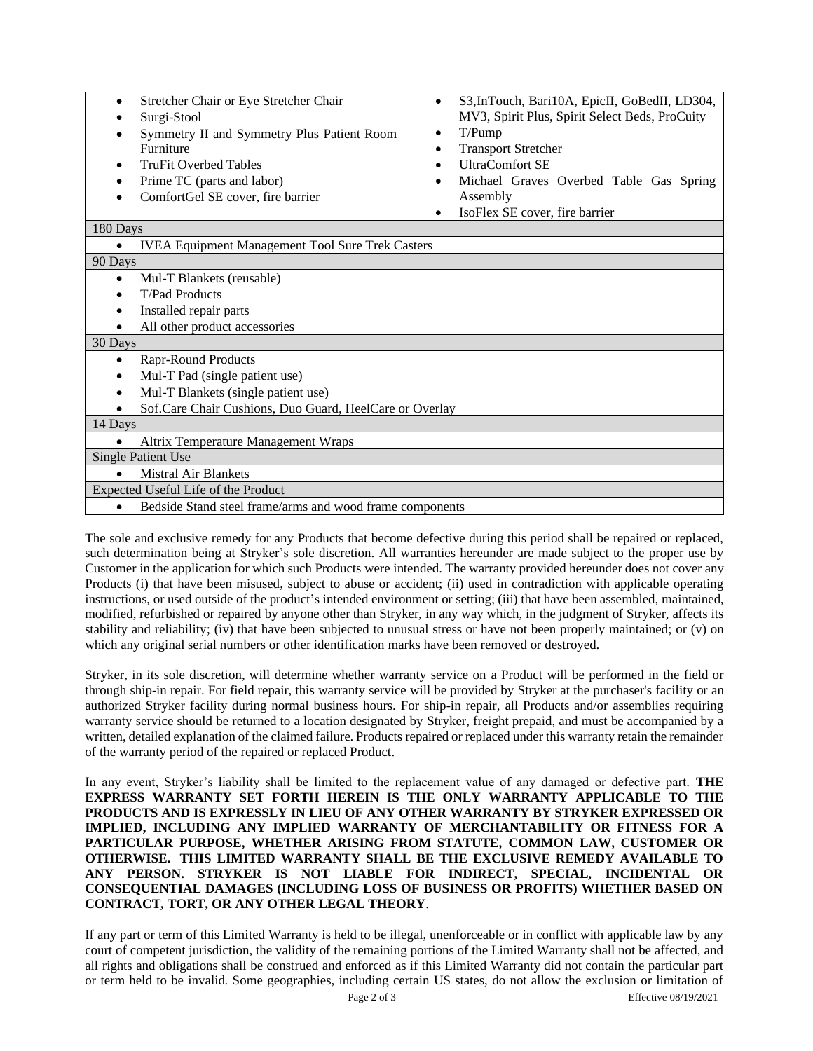| Stretcher Chair or Eye Stretcher Chair |
|----------------------------------------|
|----------------------------------------|

- Surgi-Stool
- Symmetry II and Symmetry Plus Patient Room Furniture
- TruFit Overbed Tables
- Prime TC (parts and labor)
- ComfortGel SE cover, fire barrier
- S3, InTouch, Bari10A, EpicII, GoBedII, LD304, MV3, Spirit Plus, Spirit Select Beds, ProCuity
- T/Pump
- Transport Stretcher
- UltraComfort SE
- Michael Graves Overbed Table Gas Spring Assembly
- IsoFlex SE cover, fire barrier

#### 180 Days

| <b>IVEA Equipment Management Tool Sure Trek Casters</b><br>$\bullet$ |  |
|----------------------------------------------------------------------|--|
| 90 Days                                                              |  |
| Mul-T Blankets (reusable)                                            |  |
| T/Pad Products                                                       |  |
| Installed repair parts                                               |  |
| All other product accessories                                        |  |
| 30 Days                                                              |  |
| Rapr-Round Products                                                  |  |
| Mul-T Pad (single patient use)                                       |  |
| Mul-T Blankets (single patient use)                                  |  |
| Sof. Care Chair Cushions, Duo Guard, Heel Care or Overlay            |  |
| 14 Days                                                              |  |
| Altrix Temperature Management Wraps                                  |  |
| <b>Single Patient Use</b>                                            |  |
| <b>Mistral Air Blankets</b>                                          |  |
| Expected Useful Life of the Product                                  |  |
| Bedside Stand steel frame/arms and wood frame components             |  |

The sole and exclusive remedy for any Products that become defective during this period shall be repaired or replaced, such determination being at Stryker's sole discretion. All warranties hereunder are made subject to the proper use by Customer in the application for which such Products were intended. The warranty provided hereunder does not cover any Products (i) that have been misused, subject to abuse or accident; (ii) used in contradiction with applicable operating instructions, or used outside of the product's intended environment or setting; (iii) that have been assembled, maintained, modified, refurbished or repaired by anyone other than Stryker, in any way which, in the judgment of Stryker, affects its stability and reliability; (iv) that have been subjected to unusual stress or have not been properly maintained; or (v) on which any original serial numbers or other identification marks have been removed or destroyed.

Stryker, in its sole discretion, will determine whether warranty service on a Product will be performed in the field or through ship-in repair. For field repair, this warranty service will be provided by Stryker at the purchaser's facility or an authorized Stryker facility during normal business hours. For ship-in repair, all Products and/or assemblies requiring warranty service should be returned to a location designated by Stryker, freight prepaid, and must be accompanied by a written, detailed explanation of the claimed failure. Products repaired or replaced under this warranty retain the remainder of the warranty period of the repaired or replaced Product.

In any event, Stryker's liability shall be limited to the replacement value of any damaged or defective part. **THE EXPRESS WARRANTY SET FORTH HEREIN IS THE ONLY WARRANTY APPLICABLE TO THE PRODUCTS AND IS EXPRESSLY IN LIEU OF ANY OTHER WARRANTY BY STRYKER EXPRESSED OR IMPLIED, INCLUDING ANY IMPLIED WARRANTY OF MERCHANTABILITY OR FITNESS FOR A PARTICULAR PURPOSE, WHETHER ARISING FROM STATUTE, COMMON LAW, CUSTOMER OR OTHERWISE. THIS LIMITED WARRANTY SHALL BE THE EXCLUSIVE REMEDY AVAILABLE TO ANY PERSON. STRYKER IS NOT LIABLE FOR INDIRECT, SPECIAL, INCIDENTAL OR CONSEQUENTIAL DAMAGES (INCLUDING LOSS OF BUSINESS OR PROFITS) WHETHER BASED ON CONTRACT, TORT, OR ANY OTHER LEGAL THEORY**.

If any part or term of this Limited Warranty is held to be illegal, unenforceable or in conflict with applicable law by any court of competent jurisdiction, the validity of the remaining portions of the Limited Warranty shall not be affected, and all rights and obligations shall be construed and enforced as if this Limited Warranty did not contain the particular part or term held to be invalid. Some geographies, including certain US states, do not allow the exclusion or limitation of